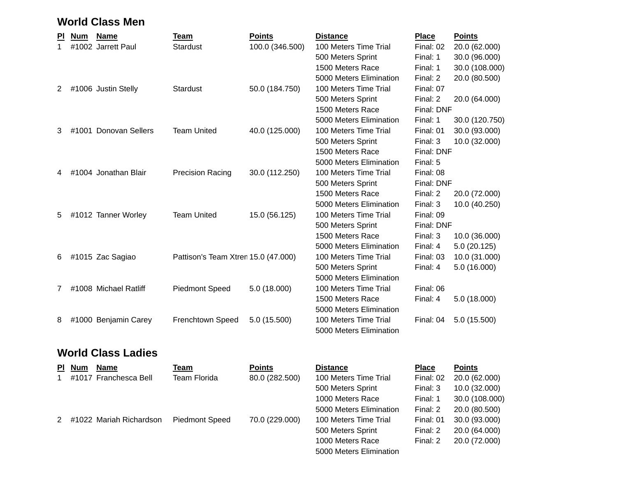## **World Class Men**

| ΡI | <b>Num</b> | <b>Name</b>           | Team                                | <b>Points</b>   | <b>Distance</b>         | <b>Place</b> | <b>Points</b>  |
|----|------------|-----------------------|-------------------------------------|-----------------|-------------------------|--------------|----------------|
|    |            | #1002 Jarrett Paul    | <b>Stardust</b>                     | 100.0 (346.500) | 100 Meters Time Trial   | Final: 02    | 20.0 (62.000)  |
|    |            |                       |                                     |                 | 500 Meters Sprint       | Final: 1     | 30.0 (96.000)  |
|    |            |                       |                                     |                 | 1500 Meters Race        | Final: 1     | 30.0 (108.000) |
|    |            |                       |                                     |                 | 5000 Meters Elimination | Final: 2     | 20.0 (80.500)  |
| 2  |            | #1006 Justin Stelly   | <b>Stardust</b>                     | 50.0 (184.750)  | 100 Meters Time Trial   | Final: 07    |                |
|    |            |                       |                                     |                 | 500 Meters Sprint       | Final: 2     | 20.0 (64.000)  |
|    |            |                       |                                     |                 | 1500 Meters Race        | Final: DNF   |                |
|    |            |                       |                                     |                 | 5000 Meters Elimination | Final: 1     | 30.0 (120.750) |
| 3  |            | #1001 Donovan Sellers | <b>Team United</b>                  | 40.0 (125.000)  | 100 Meters Time Trial   | Final: 01    | 30.0 (93.000)  |
|    |            |                       |                                     |                 | 500 Meters Sprint       | Final: 3     | 10.0 (32.000)  |
|    |            |                       |                                     |                 | 1500 Meters Race        | Final: DNF   |                |
|    |            |                       |                                     |                 | 5000 Meters Elimination | Final: 5     |                |
| 4  |            | #1004 Jonathan Blair  | <b>Precision Racing</b>             | 30.0 (112.250)  | 100 Meters Time Trial   | Final: 08    |                |
|    |            |                       |                                     |                 | 500 Meters Sprint       | Final: DNF   |                |
|    |            |                       |                                     |                 | 1500 Meters Race        | Final: 2     | 20.0 (72.000)  |
|    |            |                       |                                     |                 | 5000 Meters Elimination | Final: 3     | 10.0 (40.250)  |
| 5  |            | #1012 Tanner Worley   | <b>Team United</b>                  | 15.0 (56.125)   | 100 Meters Time Trial   | Final: 09    |                |
|    |            |                       |                                     |                 | 500 Meters Sprint       | Final: DNF   |                |
|    |            |                       |                                     |                 | 1500 Meters Race        | Final: 3     | 10.0 (36.000)  |
|    |            |                       |                                     |                 | 5000 Meters Elimination | Final: 4     | 5.0 (20.125)   |
| 6  |            | #1015 Zac Sagiao      | Pattison's Team Xtren 15.0 (47.000) |                 | 100 Meters Time Trial   | Final: 03    | 10.0 (31.000)  |
|    |            |                       |                                     |                 | 500 Meters Sprint       | Final: 4     | 5.0 (16.000)   |
|    |            |                       |                                     |                 | 5000 Meters Elimination |              |                |
| 7  |            | #1008 Michael Ratliff | <b>Piedmont Speed</b>               | 5.0 (18.000)    | 100 Meters Time Trial   | Final: 06    |                |
|    |            |                       |                                     |                 | 1500 Meters Race        | Final: 4     | 5.0 (18.000)   |
|    |            |                       |                                     |                 | 5000 Meters Elimination |              |                |
| 8  |            | #1000 Benjamin Carey  | Frenchtown Speed                    | 5.0 (15.500)    | 100 Meters Time Trial   | Final: 04    | 5.0 (15.500)   |
|    |            |                       |                                     |                 | 5000 Meters Elimination |              |                |
|    |            |                       |                                     |                 |                         |              |                |

## **World Class Ladies**

|             | PI Num | Name                      | Team                  | <b>Points</b>  | <b>Distance</b>         | <b>Place</b> | <b>Points</b> |
|-------------|--------|---------------------------|-----------------------|----------------|-------------------------|--------------|---------------|
| $\mathbf 1$ |        | #1017 Franchesca Bell     | Team Florida          | 80.0 (282.500) | 100 Meters Time Trial   | Final: 02    | 20.0 (62.000) |
|             |        |                           |                       |                | 500 Meters Sprint       | Final: 3     | 10.0 (32.000) |
|             |        |                           |                       |                | 1000 Meters Race        | Final: 1     | 30.0 (108.00  |
|             |        |                           |                       |                | 5000 Meters Elimination | Final: 2     | 20.0 (80.500) |
|             |        | 2 #1022 Mariah Richardson | <b>Piedmont Speed</b> | 70.0 (229.000) | 100 Meters Time Trial   | Final: 01    | 30.0 (93.000) |
|             |        |                           |                       |                | 500 Meters Sprint       | Final: 2     | 20.0 (64.000) |
|             |        |                           |                       |                | 1000 Meters Race        | Final: 2     | 20.0 (72.000) |

| <b>Distance</b>         | <b>Place</b> | <b>Points</b>  |
|-------------------------|--------------|----------------|
| 100 Meters Time Trial   | Final: 02    | 20.0 (62.000)  |
| 500 Meters Sprint       | Final: 3     | 10.0 (32.000)  |
| 1000 Meters Race        | Final: 1     | 30.0 (108.000) |
| 5000 Meters Elimination | Final: 2     | 20.0 (80.500)  |
| 100 Meters Time Trial   | Final: 01    | 30.0 (93.000)  |
| 500 Meters Sprint       | Final: 2     | 20.0 (64.000)  |
| 1000 Meters Race        | Final: 2     | 20.0 (72.000)  |
| 5000 Meters Elimination |              |                |